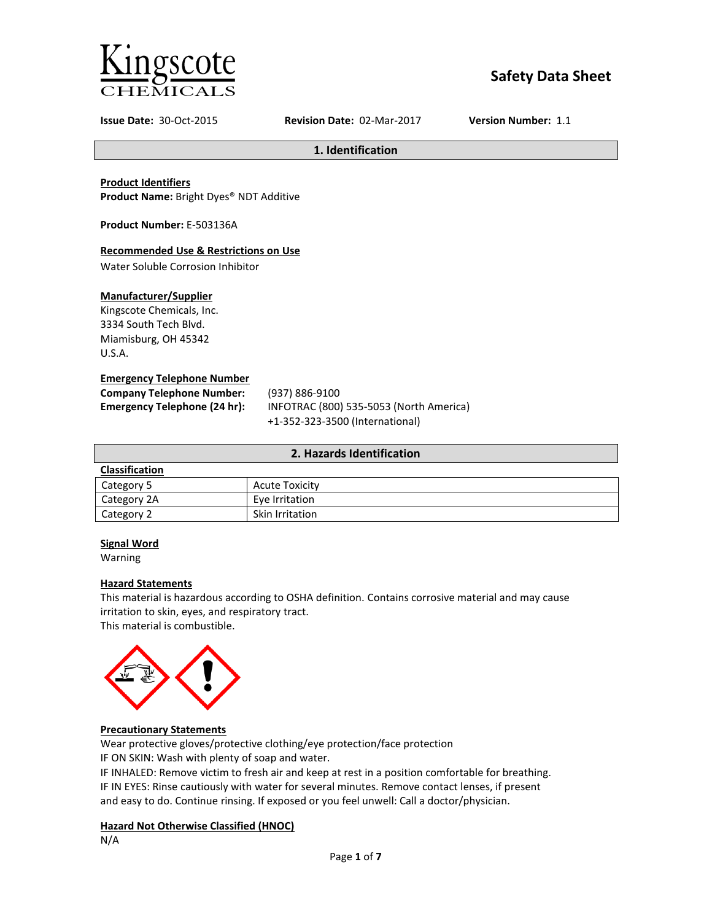

# **Safety Data Sheet**

**Issue Date:** 30-Oct-2015 **Revision Date:** 02-Mar-2017 **Version Number:** 1.1

**1. Identification**

### **Product Identifiers**

**Product Name:** Bright Dyes® NDT Additive

**Product Number:** E-503136A

#### **Recommended Use & Restrictions on Use**

Water Soluble Corrosion Inhibitor

### **Manufacturer/Supplier**

Kingscote Chemicals, Inc. 3334 South Tech Blvd. Miamisburg, OH 45342 U.S.A.

#### **Emergency Telephone Number**

**Company Telephone Number:** (937) 886-9100

**Emergency Telephone (24 hr):** INFOTRAC (800) 535-5053 (North America) +1-352-323-3500 (International)

| 2. Hazards Identification |                       |  |
|---------------------------|-----------------------|--|
| Classification            |                       |  |
| Category 5                | <b>Acute Toxicity</b> |  |
| Category 2A               | Eye Irritation        |  |
| Category 2                | Skin Irritation       |  |

### **Signal Word**

Warning

#### **Hazard Statements**

This material is hazardous according to OSHA definition. Contains corrosive material and may cause irritation to skin, eyes, and respiratory tract.

This material is combustible.



### **Precautionary Statements**

Wear protective gloves/protective clothing/eye protection/face protection IF ON SKIN: Wash with plenty of soap and water.

IF INHALED: Remove victim to fresh air and keep at rest in a position comfortable for breathing. IF IN EYES: Rinse cautiously with water for several minutes. Remove contact lenses, if present and easy to do. Continue rinsing. If exposed or you feel unwell: Call a doctor/physician.

# **Hazard Not Otherwise Classified (HNOC)**

N/A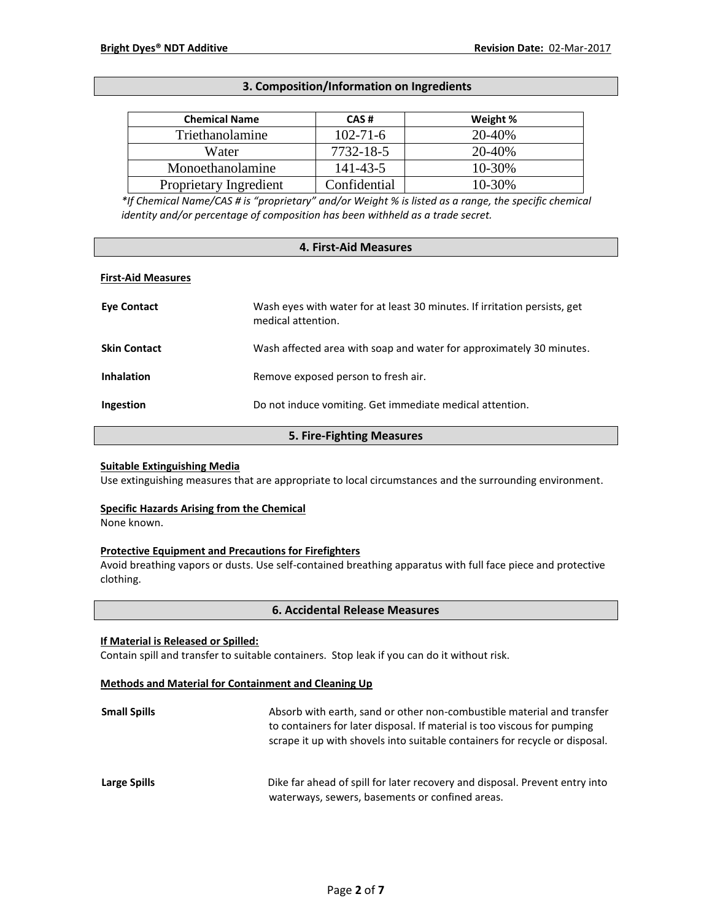### **3. Composition/Information on Ingredients**

| <b>Chemical Name</b>   | CAS#           | Weight % |
|------------------------|----------------|----------|
| Triethanolamine        | $102 - 71 - 6$ | 20-40%   |
| Water                  | 7732-18-5      | 20-40%   |
| Monoethanolamine       | 141-43-5       | 10-30%   |
| Proprietary Ingredient | Confidential   | 10-30%   |

*\*If Chemical Name/CAS # is "proprietary" and/or Weight % is listed as a range, the specific chemical identity and/or percentage of composition has been withheld as a trade secret.*

#### **4. First-Aid Measures**

#### **First-Aid Measures**

| Eye Contact               | Wash eves with water for at least 30 minutes. If irritation persists, get<br>medical attention. |  |
|---------------------------|-------------------------------------------------------------------------------------------------|--|
| <b>Skin Contact</b>       | Wash affected area with soap and water for approximately 30 minutes.                            |  |
| <b>Inhalation</b>         | Remove exposed person to fresh air.                                                             |  |
| Ingestion                 | Do not induce vomiting. Get immediate medical attention.                                        |  |
| 5. Fire-Fighting Measures |                                                                                                 |  |

#### **Suitable Extinguishing Media**

Use extinguishing measures that are appropriate to local circumstances and the surrounding environment.

#### **Specific Hazards Arising from the Chemical**

None known.

### **Protective Equipment and Precautions for Firefighters**

Avoid breathing vapors or dusts. Use self-contained breathing apparatus with full face piece and protective clothing.

#### **6. Accidental Release Measures**

#### **If Material is Released or Spilled:**

Contain spill and transfer to suitable containers. Stop leak if you can do it without risk.

# **Methods and Material for Containment and Cleaning Up**

| <b>Small Spills</b> | Absorb with earth, sand or other non-combustible material and transfer<br>to containers for later disposal. If material is too viscous for pumping<br>scrape it up with shovels into suitable containers for recycle or disposal. |
|---------------------|-----------------------------------------------------------------------------------------------------------------------------------------------------------------------------------------------------------------------------------|
| Large Spills        | Dike far ahead of spill for later recovery and disposal. Prevent entry into<br>waterways, sewers, basements or confined areas.                                                                                                    |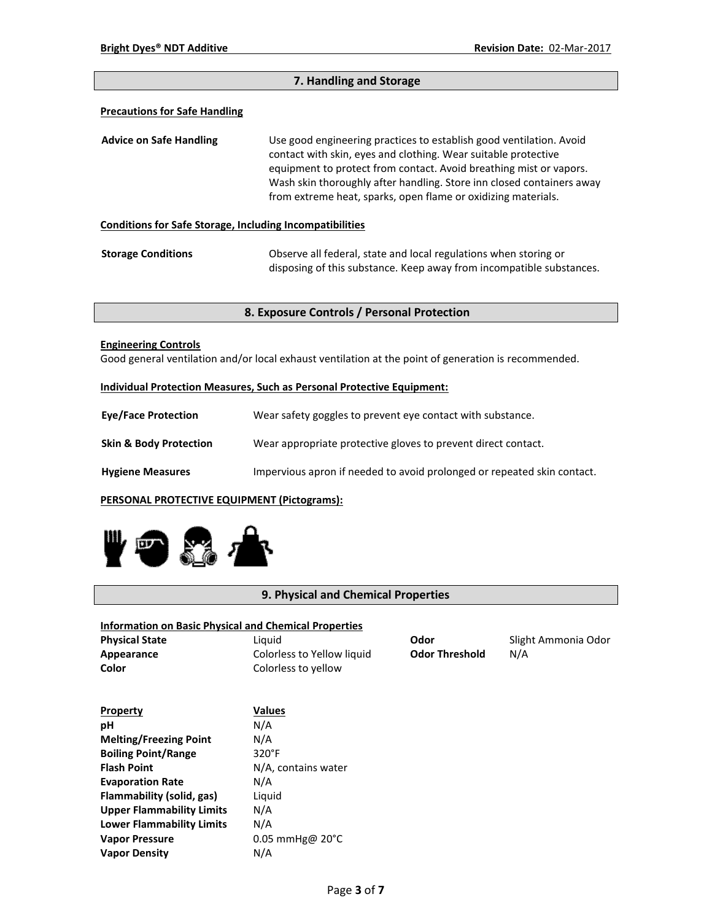| 7. Handling and Storage                                         |                                                                                                                                                                                                                                                                                                                                                       |  |
|-----------------------------------------------------------------|-------------------------------------------------------------------------------------------------------------------------------------------------------------------------------------------------------------------------------------------------------------------------------------------------------------------------------------------------------|--|
| <b>Precautions for Safe Handling</b>                            |                                                                                                                                                                                                                                                                                                                                                       |  |
| <b>Advice on Safe Handling</b>                                  | Use good engineering practices to establish good ventilation. Avoid<br>contact with skin, eyes and clothing. Wear suitable protective<br>equipment to protect from contact. Avoid breathing mist or vapors.<br>Wash skin thoroughly after handling. Store inn closed containers away<br>from extreme heat, sparks, open flame or oxidizing materials. |  |
| <b>Conditions for Safe Storage, Including Incompatibilities</b> |                                                                                                                                                                                                                                                                                                                                                       |  |
| <b>Storage Conditions</b>                                       | Observe all federal, state and local regulations when storing or<br>disposing of this substance. Keep away from incompatible substances.                                                                                                                                                                                                              |  |

# **8. Exposure Controls / Personal Protection**

### **Engineering Controls**

Good general ventilation and/or local exhaust ventilation at the point of generation is recommended.

### **Individual Protection Measures, Such as Personal Protective Equipment:**

| <b>Eve/Face Protection</b>        | Wear safety goggles to prevent eye contact with substance.              |
|-----------------------------------|-------------------------------------------------------------------------|
| <b>Skin &amp; Body Protection</b> | Wear appropriate protective gloves to prevent direct contact.           |
| <b>Hygiene Measures</b>           | Impervious apron if needed to avoid prolonged or repeated skin contact. |

### **PERSONAL PROTECTIVE EQUIPMENT (Pictograms):**



# **9. Physical and Chemical Properties**

### **Information on Basic Physical and Chemical Properties**

**Physical State** Liquid **Odor** Slight Ammonia Odor **Appearance** Colorless to Yellow liquid **Odor Threshold** N/A<br> **Color** Colorless to yellow **Color** Colorless to yellow

| Property                         | <b>Values</b>               |
|----------------------------------|-----------------------------|
| рH                               | N/A                         |
| <b>Melting/Freezing Point</b>    | N/A                         |
| <b>Boiling Point/Range</b>       | 320°F                       |
| <b>Flash Point</b>               | N/A, contains water         |
| <b>Evaporation Rate</b>          | N/A                         |
| Flammability (solid, gas)        | Liguid                      |
| <b>Upper Flammability Limits</b> | N/A                         |
| <b>Lower Flammability Limits</b> | N/A                         |
| <b>Vapor Pressure</b>            | $0.05$ mmHg@ $20^{\circ}$ C |
| <b>Vapor Density</b>             | N/A                         |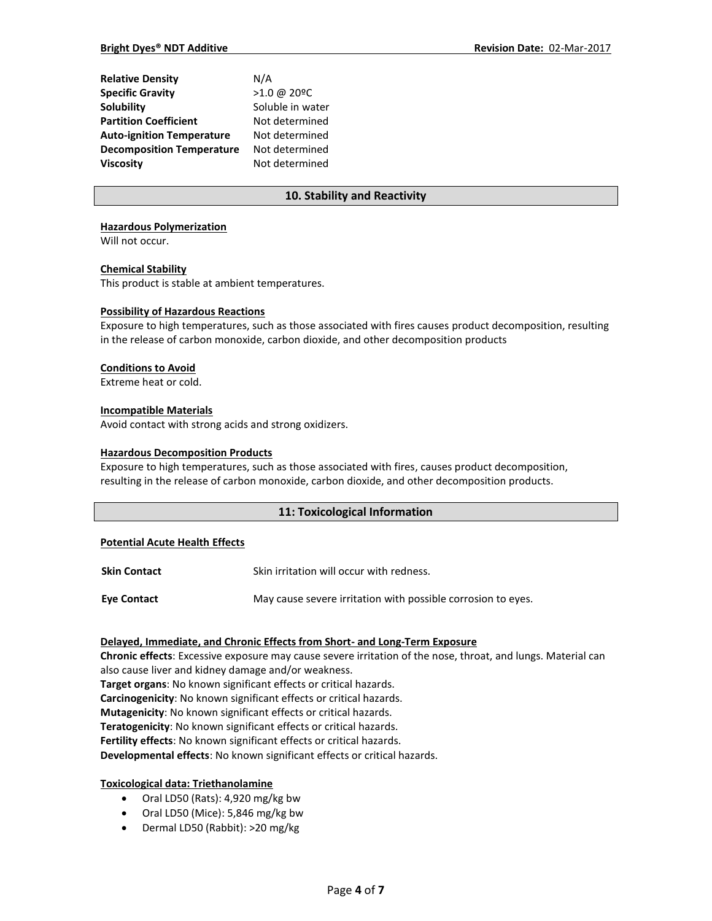| <b>Relative Density</b>          | N/A              |
|----------------------------------|------------------|
| <b>Specific Gravity</b>          | >1.0 @ 20°C      |
| Solubility                       | Soluble in water |
| <b>Partition Coefficient</b>     | Not determined   |
| <b>Auto-ignition Temperature</b> | Not determined   |
| <b>Decomposition Temperature</b> | Not determined   |
| <b>Viscosity</b>                 | Not determined   |

# **10. Stability and Reactivity**

#### **Hazardous Polymerization**

Will not occur.

#### **Chemical Stability**

This product is stable at ambient temperatures.

#### **Possibility of Hazardous Reactions**

Exposure to high temperatures, such as those associated with fires causes product decomposition, resulting in the release of carbon monoxide, carbon dioxide, and other decomposition products

### **Conditions to Avoid**

Extreme heat or cold.

#### **Incompatible Materials**

Avoid contact with strong acids and strong oxidizers.

#### **Hazardous Decomposition Products**

Exposure to high temperatures, such as those associated with fires, causes product decomposition, resulting in the release of carbon monoxide, carbon dioxide, and other decomposition products.

### **11: Toxicological Information**

#### **Potential Acute Health Effects**

| <b>Skin Contact</b> | Skin irritation will occur with redness.                     |
|---------------------|--------------------------------------------------------------|
| Eye Contact         | May cause severe irritation with possible corrosion to eyes. |

### **Delayed, Immediate, and Chronic Effects from Short- and Long-Term Exposure**

**Chronic effects**: Excessive exposure may cause severe irritation of the nose, throat, and lungs. Material can also cause liver and kidney damage and/or weakness. **Target organs**: No known significant effects or critical hazards. **Carcinogenicity**: No known significant effects or critical hazards. **Mutagenicity**: No known significant effects or critical hazards. **Teratogenicity**: No known significant effects or critical hazards. **Fertility effects**: No known significant effects or critical hazards. **Developmental effects**: No known significant effects or critical hazards.

### **Toxicological data: Triethanolamine**

- Oral LD50 (Rats): 4,920 mg/kg bw
- Oral LD50 (Mice): 5,846 mg/kg bw
- Dermal LD50 (Rabbit): >20 mg/kg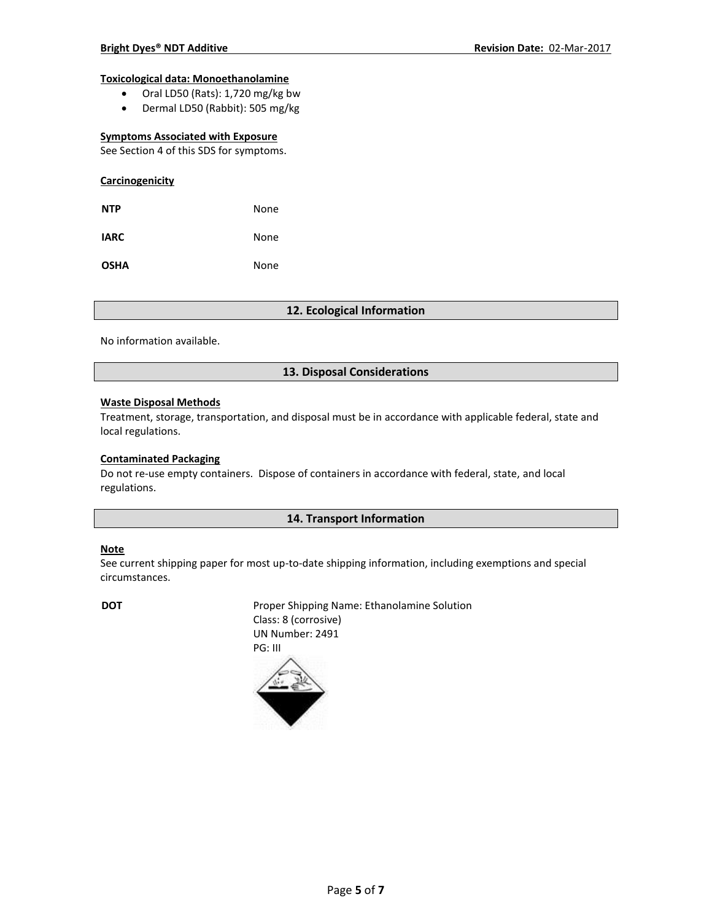#### **Toxicological data: Monoethanolamine**

- Oral LD50 (Rats): 1,720 mg/kg bw
- Dermal LD50 (Rabbit): 505 mg/kg

#### **Symptoms Associated with Exposure**

See Section 4 of this SDS for symptoms.

| Carcinogenicity |      |
|-----------------|------|
| <b>NTP</b>      | None |
| <b>IARC</b>     | None |
| <b>OSHA</b>     | None |

### **12. Ecological Information**

No information available.

### **13. Disposal Considerations**

### **Waste Disposal Methods**

Treatment, storage, transportation, and disposal must be in accordance with applicable federal, state and local regulations.

### **Contaminated Packaging**

Do not re-use empty containers.Dispose of containers in accordance with federal, state, and local regulations.

### **14. Transport Information**

#### **Note**

See current shipping paper for most up-to-date shipping information, including exemptions and special circumstances.

**DOT** Proper Shipping Name: Ethanolamine Solution Class: 8 (corrosive) UN Number: 2491 PG: III

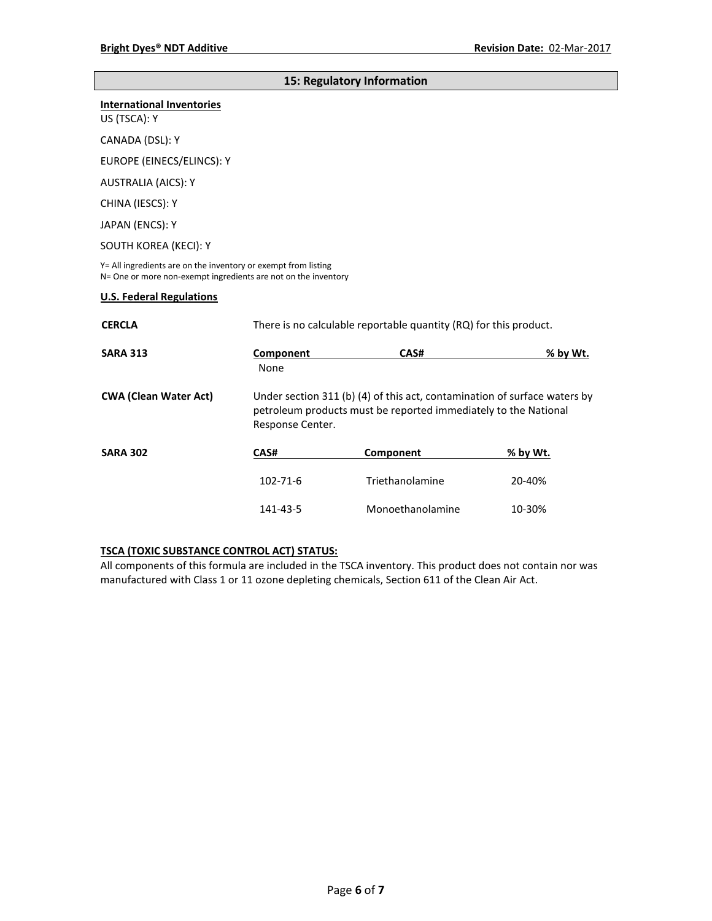### **15: Regulatory Information**

#### **International Inventories**

US (TSCA): Y

CANADA (DSL): Y

EUROPE (EINECS/ELINCS): Y

AUSTRALIA (AICS): Y

CHINA (IESCS): Y

JAPAN (ENCS): Y

SOUTH KOREA (KECI): Y

Y= All ingredients are on the inventory or exempt from listing N= One or more non-exempt ingredients are not on the inventory

#### **U.S. Federal Regulations**

| <b>CERCLA</b>                |                   | There is no calculable reportable quantity (RQ) for this product.                                                                                                |          |  |
|------------------------------|-------------------|------------------------------------------------------------------------------------------------------------------------------------------------------------------|----------|--|
| <b>SARA 313</b>              | Component<br>None | CAS#                                                                                                                                                             | % by Wt. |  |
| <b>CWA (Clean Water Act)</b> |                   | Under section 311 (b) (4) of this act, contamination of surface waters by<br>petroleum products must be reported immediately to the National<br>Response Center. |          |  |
| <b>SARA 302</b>              | CAS#              | Component                                                                                                                                                        | % by Wt. |  |
|                              | $102 - 71 - 6$    | Triethanolamine                                                                                                                                                  | 20-40%   |  |
|                              | 141-43-5          | Monoethanolamine                                                                                                                                                 | 10-30%   |  |

# **TSCA (TOXIC SUBSTANCE CONTROL ACT) STATUS:**

All components of this formula are included in the TSCA inventory. This product does not contain nor was manufactured with Class 1 or 11 ozone depleting chemicals, Section 611 of the Clean Air Act.